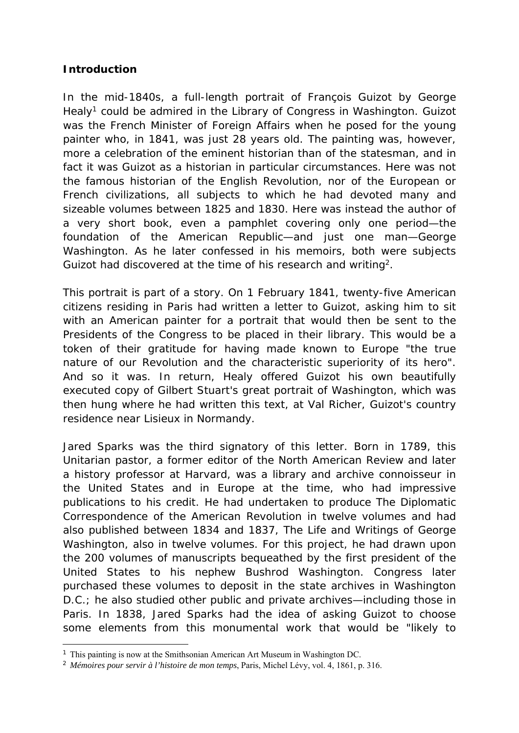## **Introduction**

In the mid-1840s, a full-length portrait of François Guizot by George Healy<sup>1</sup> could be admired in the Library of Congress in Washington. Guizot was the French Minister of Foreign Affairs when he posed for the young painter who, in 1841, was just 28 years old. The painting was, however, more a celebration of the eminent historian than of the statesman, and in fact it was Guizot as a historian in particular circumstances. Here was not the famous historian of the English Revolution, nor of the European or French civilizations, all subjects to which he had devoted many and sizeable volumes between 1825 and 1830. Here was instead the author of a very short book, even a pamphlet covering only one period—the foundation of the American Republic—and just one man—George Washington. As he later confessed in his memoirs, both were subjects Guizot had discovered at the time of his research and writing<sup>2</sup>.

This portrait is part of a story. On 1 February 1841, twenty-five American citizens residing in Paris had written a letter to Guizot, asking him to sit with an American painter for a portrait that would then be sent to the Presidents of the Congress to be placed in their library. This would be a token of their gratitude for having made known to Europe "the true nature of our Revolution and the characteristic superiority of its hero". And so it was. In return, Healy offered Guizot his own beautifully executed copy of Gilbert Stuart's great portrait of Washington, which was then hung where he had written this text, at Val Richer, Guizot's country residence near Lisieux in Normandy.

Jared Sparks was the third signatory of this letter. Born in 1789, this Unitarian pastor, a former editor of the *North American Review* and later a history professor at Harvard, was a library and archive connoisseur in the United States and in Europe at the time, who had impressive publications to his credit. He had undertaken to produce *The Diplomatic Correspondence of the American Revolution* in twelve volumes and had also published between 1834 and 1837, *The Life and Writings of George Washington,* also in twelve volumes. For this project, he had drawn upon the 200 volumes of manuscripts bequeathed by the first president of the United States to his nephew Bushrod Washington. Congress later purchased these volumes to deposit in the state archives in Washington D.C.; he also studied other public and private archives—including those in Paris. In 1838, Jared Sparks had the idea of asking Guizot to choose some elements from this monumental work that would be "likely to

<sup>&</sup>lt;sup>1</sup> This painting is now at the Smithsonian American Art Museum in Washington DC.

<sup>2</sup> *Mémoires pour servir à l'histoire de mon temps*, Paris, Michel Lévy, vol. 4, 1861, p. 316.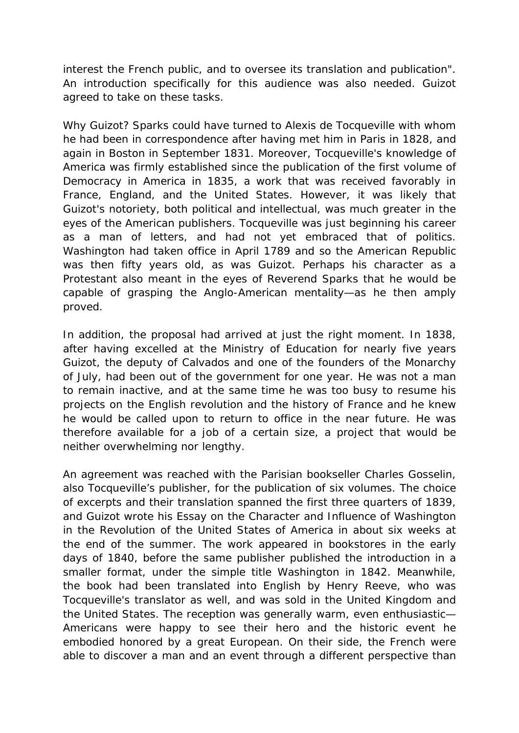interest the French public, and to oversee its translation and publication". An introduction specifically for this audience was also needed. Guizot agreed to take on these tasks.

Why Guizot? Sparks could have turned to Alexis de Tocqueville with whom he had been in correspondence after having met him in Paris in 1828, and again in Boston in September 1831. Moreover, Tocqueville's knowledge of America was firmly established since the publication of the first volume of *Democracy in America* in 1835, a work that was received favorably in France, England, and the United States. However, it was likely that Guizot's notoriety, both political and intellectual, was much greater in the eyes of the American publishers. Tocqueville was just beginning his career as a man of letters, and had not yet embraced that of politics. Washington had taken office in April 1789 and so the American Republic was then fifty years old, as was Guizot. Perhaps his character as a Protestant also meant in the eyes of Reverend Sparks that he would be capable of grasping the Anglo-American mentality—as he then amply proved.

In addition, the proposal had arrived at just the right moment. In 1838, after having excelled at the Ministry of Education for nearly five years Guizot, the deputy of Calvados and one of the founders of the Monarchy of July, had been out of the government for one year. He was not a man to remain inactive, and at the same time he was too busy to resume his projects on the English revolution and the history of France and he knew he would be called upon to return to office in the near future. He was therefore available for a job of a certain size, a project that would be neither overwhelming nor lengthy.

An agreement was reached with the Parisian bookseller Charles Gosselin, also Tocqueville's publisher, for the publication of six volumes. The choice of excerpts and their translation spanned the first three quarters of 1839, and Guizot wrote his *Essay on the Character and Influence of Washington in the Revolution of the United States of America* in about six weeks at the end of the summer. The work appeared in bookstores in the early days of 1840, before the same publisher published the introduction in a smaller format, under the simple title *Washington* in 1842. Meanwhile, the book had been translated into English by Henry Reeve, who was Tocqueville's translator as well, and was sold in the United Kingdom and the United States. The reception was generally warm, even enthusiastic— Americans were happy to see their hero and the historic event he embodied honored by a great European. On their side, the French were able to discover a man and an event through a different perspective than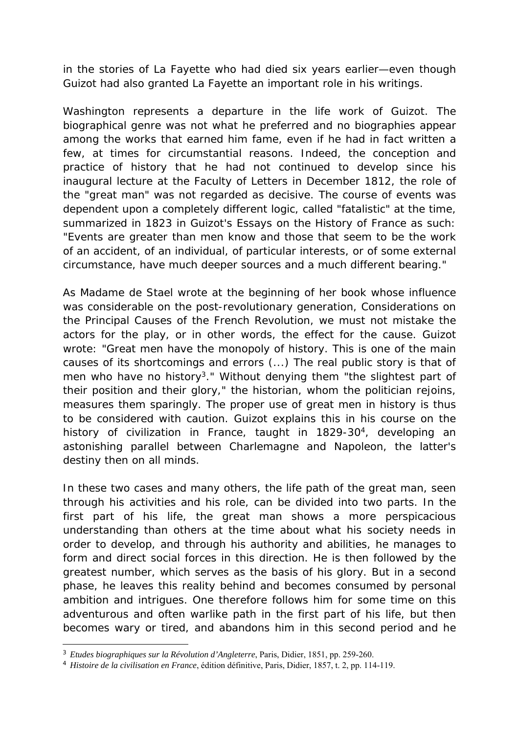in the stories of La Fayette who had died six years earlier—even though Guizot had also granted La Fayette an important role in his writings.

*Washington* represents a departure in the life work of Guizot. The biographical genre was not what he preferred and no biographies appear among the works that earned him fame, even if he had in fact written a few, at times for circumstantial reasons. Indeed, the conception and practice of history that he had not continued to develop since his inaugural lecture at the Faculty of Letters in December 1812, the role of the "great man" was not regarded as decisive. The course of events was dependent upon a completely different logic, called "fatalistic" at the time, summarized in 1823 in Guizot's *Essays on the History of France* as such: "Events are greater than men know and those that seem to be the work of an accident, of an individual, of particular interests, or of some external circumstance, have much deeper sources and a much different bearing."

As Madame de Stael wrote at the beginning of her book whose influence was considerable on the post-revolutionary generation, *Considerations on the Principal Causes of the French Revolution,* we must not mistake the actors for the play, or in other words, the effect for the cause. Guizot wrote: "Great men have the monopoly of history. This is one of the main causes of its shortcomings and errors (...) The real public story is that of men who have no history3." Without denying them "the slightest part of their position and their glory," the historian, whom the politician rejoins, measures them sparingly. The proper use of great men in history is thus to be considered with caution. Guizot explains this in his course on the history of civilization in France, taught in 1829-30<sup>4</sup>, developing an astonishing parallel between Charlemagne and Napoleon, the latter's destiny then on all minds.

In these two cases and many others, the life path of the great man, seen through his activities and his role, can be divided into two parts. In the first part of his life, the great man shows a more perspicacious understanding than others at the time about what his society needs in order to develop, and through his authority and abilities, he manages to form and direct social forces in this direction. He is then followed by the greatest number, which serves as the basis of his glory. But in a second phase, he leaves this reality behind and becomes consumed by personal ambition and intrigues. One therefore follows him for some time on this adventurous and often warlike path in the first part of his life, but then becomes wary or tired, and abandons him in this second period and he

<sup>3</sup> *Etudes biographiques sur la Révolution d'Angleterre*, Paris, Didier, 1851, pp. 259-260.

<sup>4</sup> *Histoire de la civilisation en France*, édition définitive, Paris, Didier, 1857, t. 2, pp. 114-119.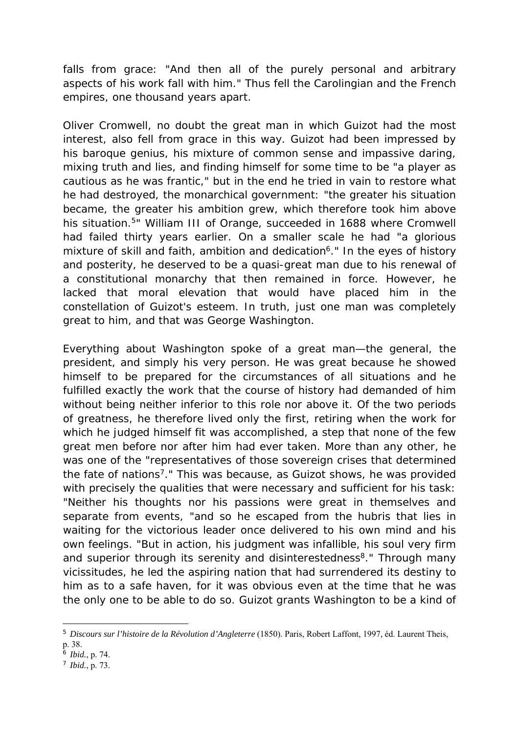falls from grace: "And then all of the purely personal and arbitrary aspects of his work fall with him." Thus fell the Carolingian and the French empires, one thousand years apart.

Oliver Cromwell, no doubt the great man in which Guizot had the most interest, also fell from grace in this way. Guizot had been impressed by his baroque genius, his mixture of common sense and impassive daring, mixing truth and lies, and finding himself for some time to be "a player as cautious as he was frantic," but in the end he tried in vain to restore what he had destroyed, the monarchical government: "the greater his situation became, the greater his ambition grew, which therefore took him above his situation.<sup>5</sup>" William III of Orange, succeeded in 1688 where Cromwell had failed thirty years earlier. On a smaller scale he had "a glorious mixture of skill and faith, ambition and dedication<sup>6</sup>." In the eyes of history and posterity, he deserved to be a quasi-great man due to his renewal of a constitutional monarchy that then remained in force. However, he lacked that moral elevation that would have placed him in the constellation of Guizot's esteem. In truth, just one man was completely great to him, and that was George Washington.

Everything about Washington spoke of a great man—the general, the president, and simply his very person. He was great because he showed himself to be prepared for the circumstances of all situations and he fulfilled exactly the work that the course of history had demanded of him without being neither inferior to this role nor above it. Of the two periods of greatness, he therefore lived only the first, retiring when the work for which he judged himself fit was accomplished, a step that none of the few great men before nor after him had ever taken. More than any other, he was one of the "representatives of those sovereign crises that determined the fate of nations7." This was because, as Guizot shows, he was provided with precisely the qualities that were necessary and sufficient for his task: "Neither his thoughts nor his passions were great in themselves and separate from events, "and so he escaped from the hubris that lies in waiting for the victorious leader once delivered to his own mind and his own feelings. "But in action, his judgment was infallible, his soul very firm and superior through its serenity and disinterestedness<sup>8</sup>." Through many vicissitudes, he led the aspiring nation that had surrendered its destiny to him as to a safe haven, for it was obvious even at the time that he was the only one to be able to do so. Guizot grants Washington to be a kind of

<sup>5</sup> *Discours sur l'histoire de la Révolution d'Angleterre* (1850). Paris, Robert Laffont, 1997, éd. Laurent Theis, p. 38.

<sup>6</sup> *Ibid.*, p. 74.

<sup>7</sup> *Ibid.*, p. 73.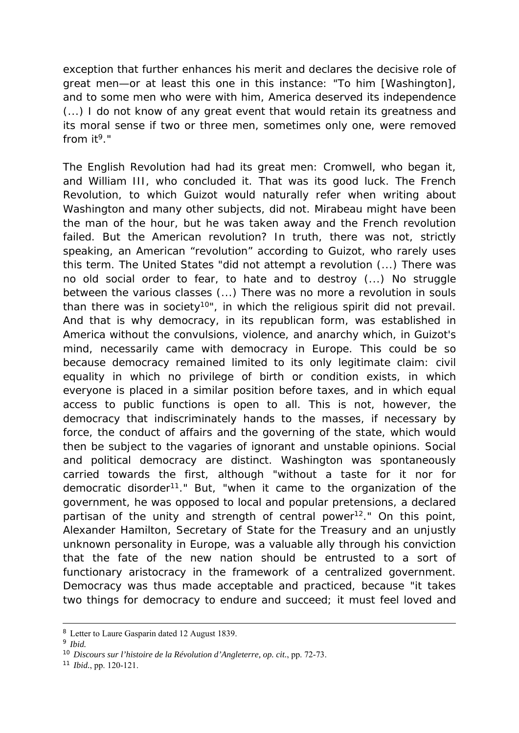exception that further enhances his merit and declares the decisive role of great men—or at least this one in this instance: "To him [Washington], and to some men who were with him, America deserved its independence (...) I do not know of any great event that would retain its greatness and its moral sense if two or three men, sometimes only one, were removed from  $it<sup>9</sup>$ ."

The English Revolution had had its great men: Cromwell, who began it, and William III, who concluded it. That was its good luck. The French Revolution, to which Guizot would naturally refer when writing about Washington and many other subjects, did not. Mirabeau might have been the man of the hour, but he was taken away and the French revolution failed. But the American revolution? In truth, there was not, strictly speaking, an American "revolution" according to Guizot, who rarely uses this term. The United States "did not attempt a revolution (...) There was no old social order to fear, to hate and to destroy (...) No struggle between the various classes (...) There was no more a revolution in souls than there was in society<sup>10"</sup>, in which the religious spirit did not prevail. And that is why democracy, in its republican form, was established in America without the convulsions, violence, and anarchy which, in Guizot's mind, necessarily came with democracy in Europe. This could be so because democracy remained limited to its only legitimate claim: civil equality in which no privilege of birth or condition exists, in which everyone is placed in a similar position before taxes, and in which equal access to public functions is open to all. This is not, however, the democracy that indiscriminately hands to the masses, if necessary by force, the conduct of affairs and the governing of the state, which would then be subject to the vagaries of ignorant and unstable opinions. Social and political democracy are distinct. Washington was spontaneously carried towards the first, although "without a taste for it nor for democratic disorder<sup>11</sup>." But, "when it came to the organization of the government, he was opposed to local and popular pretensions, a declared partisan of the unity and strength of central power<sup>12</sup>." On this point, Alexander Hamilton, Secretary of State for the Treasury and an unjustly unknown personality in Europe, was a valuable ally through his conviction that the fate of the new nation should be entrusted to a sort of functionary aristocracy in the framework of a centralized government. Democracy was thus made acceptable and practiced, because "it takes two things for democracy to endure and succeed; it must feel loved and

 <sup>8</sup> Letter to Laure Gasparin dated 12 August 1839.

<sup>9</sup> *Ibid.*

<sup>10</sup> *Discours sur l'histoire de la Révolution d'Angleterre, op. cit.*, pp. 72-73.

<sup>11</sup> *Ibid.*, pp. 120-121.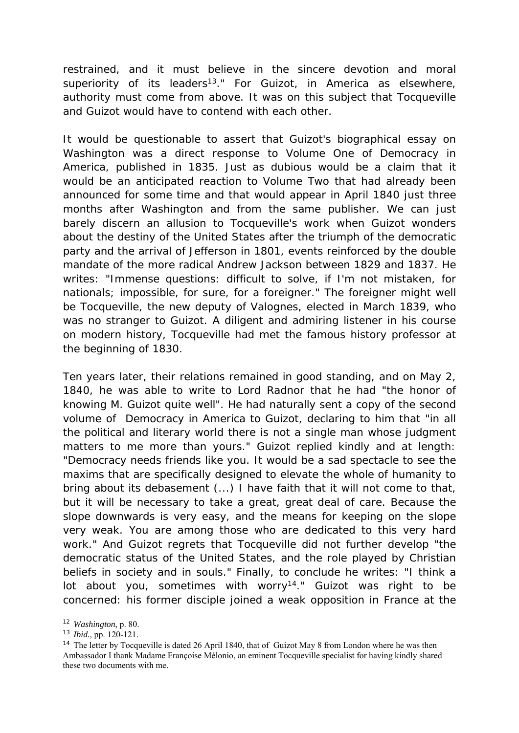restrained, and it must believe in the sincere devotion and moral superiority of its leaders<sup>13</sup>." For Guizot, in America as elsewhere, authority must come from above. It was on this subject that Tocqueville and Guizot would have to contend with each other.

It would be questionable to assert that Guizot's biographical essay on Washington was a direct response to Volume One of *Democracy in America*, published in 1835. Just as dubious would be a claim that it would be an anticipated reaction to Volume Two that had already been announced for some time and that would appear in April 1840 just three months after *Washington* and from the same publisher. We can just barely discern an allusion to Tocqueville's work when Guizot wonders about the destiny of the United States after the triumph of the democratic party and the arrival of Jefferson in 1801, events reinforced by the double mandate of the more radical Andrew Jackson between 1829 and 1837. He writes: "Immense questions: difficult to solve, if I'm not mistaken, for nationals; impossible, for sure, for a foreigner." The foreigner might well be Tocqueville, the new deputy of Valognes, elected in March 1839, who was no stranger to Guizot. A diligent and admiring listener in his course on modern history, Tocqueville had met the famous history professor at the beginning of 1830.

Ten years later, their relations remained in good standing, and on May 2, 1840, he was able to write to Lord Radnor that he had "the honor of knowing M. Guizot quite well". He had naturally sent a copy of the second volume of *Democracy in America* to Guizot, declaring to him that "in all the political and literary world there is not a single man whose judgment matters to me more than yours." Guizot replied kindly and at length: "Democracy needs friends like you. It would be a sad spectacle to see the maxims that are specifically designed to elevate the whole of humanity to bring about its debasement (...) I have faith that it will not come to that, but it will be necessary to take a great, great deal of care. Because the slope downwards is very easy, and the means for keeping on the slope very weak. You are among those who are dedicated to this very hard work." And Guizot regrets that Tocqueville did not further develop "the democratic status of the United States, and the role played by Christian beliefs in society and in souls." Finally, to conclude he writes: "I think a lot about you, sometimes with worry<sup>14</sup>." Guizot was right to be concerned: his former disciple joined a weak opposition in France at the

 <sup>12</sup> *Washington*, p. 80.

<sup>13</sup> *Ibid.*, pp. 120-121.

<sup>&</sup>lt;sup>14</sup> The letter by Tocqueville is dated 26 April 1840, that of Guizot May 8 from London where he was then Ambassador I thank Madame Françoise Mélonio, an eminent Tocqueville specialist for having kindly shared these two documents with me.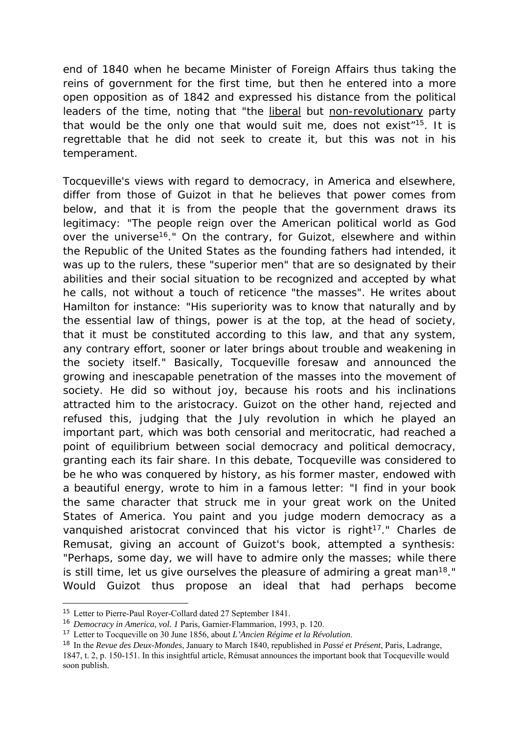end of 1840 when he became Minister of Foreign Affairs thus taking the reins of government for the first time, but then he entered into a more open opposition as of 1842 and expressed his distance from the political leaders of the time, noting that "the liberal but non-revolutionary party that would be the only one that would suit me, does not exist"15. It is regrettable that he did not seek to create it, but this was not in his temperament.

Tocqueville's views with regard to democracy, in America and elsewhere, differ from those of Guizot in that he believes that power comes from below, and that it is from the people that the government draws its legitimacy: "The people reign over the American political world as God over the universe<sup>16</sup>." On the contrary, for Guizot, elsewhere and within the Republic of the United States as the founding fathers had intended, it was up to the rulers, these "superior men" that are so designated by their abilities and their social situation to be recognized and accepted by what he calls, not without a touch of reticence "the masses". He writes about Hamilton for instance: "His superiority was to know that naturally and by the essential law of things, power is at the top, at the head of society, that it must be constituted according to this law, and that any system, any contrary effort, sooner or later brings about trouble and weakening in the society itself." Basically, Tocqueville foresaw and announced the growing and inescapable penetration of the masses into the movement of society. He did so without joy, because his roots and his inclinations attracted him to the aristocracy. Guizot on the other hand, rejected and refused this, judging that the July revolution in which he played an important part, which was both censorial and meritocratic, had reached a point of equilibrium between social democracy and political democracy, granting each its fair share. In this debate, Tocqueville was considered to be he who was conquered by history, as his former master, endowed with a beautiful energy, wrote to him in a famous letter: "I find in your book the same character that struck me in your great work on the United States of America. You paint and you judge modern democracy as a vanquished aristocrat convinced that his victor is right<sup>17</sup>." Charles de Remusat, giving an account of Guizot's book, attempted a synthesis: "Perhaps, some day, we will have to admire only the masses; while there is still time, let us give ourselves the pleasure of admiring a great man<sup>18</sup>." Would Guizot thus propose an ideal that had perhaps become

<sup>15</sup> Letter to Pierre-Paul Royer-Collard dated 27 September 1841.

<sup>16</sup> *Democracy in America, vol. 1* Paris, Garnier-Flammarion, 1993, p. 120.

<sup>17</sup> Letter to Tocqueville on 30 June 1856, about *L'Ancien Régime et la Révolution*.

<sup>18</sup> In the *Revue des Deux-Mondes*, January to March 1840, republished in *Passé et Présent*, Paris, Ladrange,

<sup>1847,</sup> t. 2, p. 150-151. In this insightful article, Rémusat announces the important book that Tocqueville would soon publish.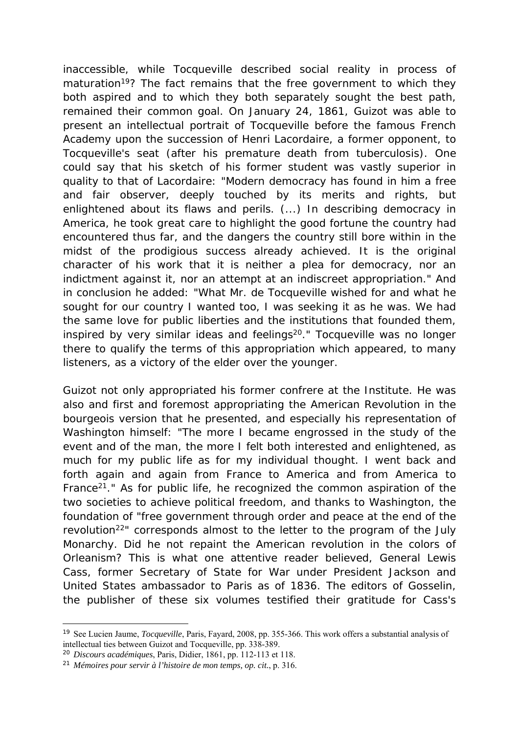inaccessible, while Tocqueville described social reality in process of maturation<sup>19</sup>? The fact remains that the free government to which they both aspired and to which they both separately sought the best path, remained their common goal. On January 24, 1861, Guizot was able to present an intellectual portrait of Tocqueville before the famous French Academy upon the succession of Henri Lacordaire, a former opponent, to Tocqueville's seat (after his premature death from tuberculosis). One could say that his sketch of his former student was vastly superior in quality to that of Lacordaire: "Modern democracy has found in him a free and fair observer, deeply touched by its merits and rights, but enlightened about its flaws and perils. (...) In describing democracy in America, he took great care to highlight the good fortune the country had encountered thus far, and the dangers the country still bore within in the midst of the prodigious success already achieved. It is the original character of his work that it is neither a plea for democracy, nor an indictment against it, nor an attempt at an indiscreet appropriation." And in conclusion he added: "What Mr. de Tocqueville wished for and what he sought for our country I wanted too, I was seeking it as he was. We had the same love for public liberties and the institutions that founded them, inspired by very similar ideas and feelings<sup>20</sup>." Tocqueville was no longer there to qualify the terms of this appropriation which appeared, to many listeners, as a victory of the elder over the younger.

Guizot not only appropriated his former confrere at the Institute. He was also and first and foremost appropriating the American Revolution in the bourgeois version that he presented, and especially his representation of Washington himself: "The more I became engrossed in the study of the event and of the man, the more I felt both interested and enlightened, as much for my public life as for my individual thought. I went back and forth again and again from France to America and from America to France<sup>21</sup>." As for public life, he recognized the common aspiration of the two societies to achieve political freedom, and thanks to Washington, the foundation of "free government through order and peace at the end of the revolution<sup>22</sup>" corresponds almost to the letter to the program of the July Monarchy. Did he not repaint the American revolution in the colors of Orleanism? This is what one attentive reader believed, General Lewis Cass, former Secretary of State for War under President Jackson and United States ambassador to Paris as of 1836. The editors of Gosselin, the publisher of these six volumes testified their gratitude for Cass's

<sup>19</sup> See Lucien Jaume, *Tocqueville*, Paris, Fayard, 2008, pp. 355-366. This work offers a substantial analysis of intellectual ties between Guizot and Tocqueville, pp. 338-389.

<sup>20</sup> *Discours académiques*, Paris, Didier, 1861, pp. 112-113 et 118.

<sup>21</sup> *Mémoires pour servir à l'histoire de mon temps, op. cit.*, p. 316.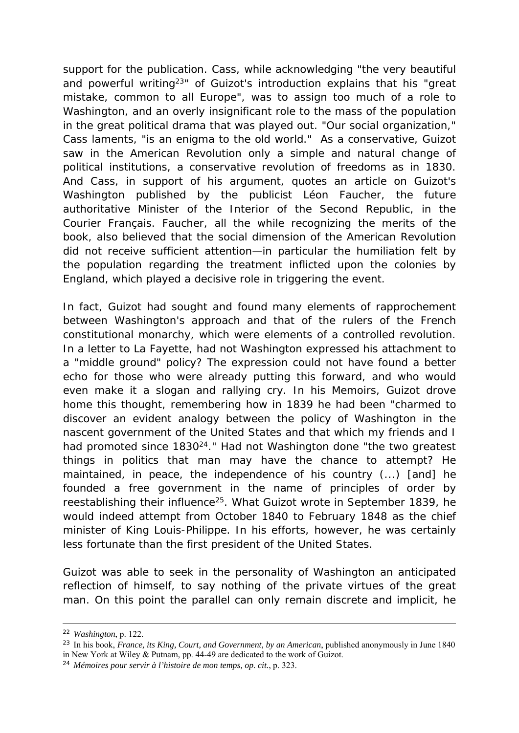support for the publication. Cass, while acknowledging "the very beautiful and powerful writing<sup>23</sup>" of Guizot's introduction explains that his "great mistake, common to all Europe", was to assign too much of a role to Washington, and an overly insignificant role to the mass of the population in the great political drama that was played out. "Our social organization," Cass laments, "is an enigma to the old world." As a conservative, Guizot saw in the American Revolution only a simple and natural change of political institutions, a conservative revolution of freedoms as in 1830. And Cass, in support of his argument, quotes an article on Guizot's *Washington* published by the publicist Léon Faucher, the future authoritative Minister of the Interior of the Second Republic, in the *Courier Français*. Faucher, all the while recognizing the merits of the book, also believed that the social dimension of the American Revolution did not receive sufficient attention—in particular the humiliation felt by the population regarding the treatment inflicted upon the colonies by England, which played a decisive role in triggering the event.

In fact, Guizot had sought and found many elements of rapprochement between Washington's approach and that of the rulers of the French constitutional monarchy, which were elements of a controlled revolution. In a letter to La Fayette, had not Washington expressed his attachment to a "middle ground" policy? The expression could not have found a better echo for those who were already putting this forward, and who would even make it a slogan and rallying cry. In his *Memoirs*, Guizot drove home this thought, remembering how in 1839 he had been "charmed to discover an evident analogy between the policy of Washington in the nascent government of the United States and that which my friends and I had promoted since 1830<sup>24</sup>." Had not Washington done "the two greatest things in politics that man may have the chance to attempt? He maintained, in peace, the independence of his country (...) [and] he founded a free government in the name of principles of order by reestablishing their influence<sup>25</sup>. What Guizot wrote in September 1839, he would indeed attempt from October 1840 to February 1848 as the chief minister of King Louis-Philippe. In his efforts, however, he was certainly less fortunate than the first president of the United States.

Guizot was able to seek in the personality of Washington an anticipated reflection of himself, to say nothing of the private virtues of the great man. On this point the parallel can only remain discrete and implicit, he

 <sup>22</sup> *Washington*, p. 122.

<sup>23</sup> In his book, *France, its King, Court, and Government, by an American*, published anonymously in June 1840 in New York at Wiley & Putnam, pp. 44-49 are dedicated to the work of Guizot.

<sup>24</sup> *Mémoires pour servir à l'histoire de mon temps, op. cit.*, p. 323.